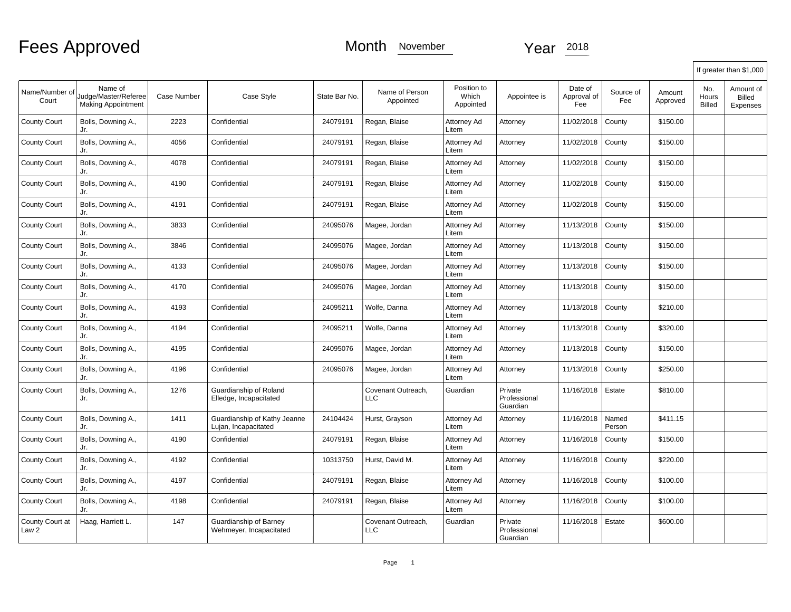|                          |                                                              |             |                                                      |               |                                  |                                   |                                     |                               |                  |                    |                               | If greater than \$1,000         |
|--------------------------|--------------------------------------------------------------|-------------|------------------------------------------------------|---------------|----------------------------------|-----------------------------------|-------------------------------------|-------------------------------|------------------|--------------------|-------------------------------|---------------------------------|
| Name/Number of<br>Court  | Name of<br>Judge/Master/Referee<br><b>Making Appointment</b> | Case Number | Case Style                                           | State Bar No. | Name of Person<br>Appointed      | Position to<br>Which<br>Appointed | Appointee is                        | Date of<br>Approval of<br>Fee | Source of<br>Fee | Amount<br>Approved | No.<br>Hours<br><b>Billed</b> | Amount of<br>Billed<br>Expenses |
| <b>County Court</b>      | Bolls, Downing A.,<br>Jr.                                    | 2223        | Confidential                                         | 24079191      | Regan, Blaise                    | Attorney Ad<br>Litem              | Attorney                            | 11/02/2018                    | County           | \$150.00           |                               |                                 |
| <b>County Court</b>      | Bolls, Downing A.,<br>Jr.                                    | 4056        | Confidential                                         | 24079191      | Regan, Blaise                    | Attorney Ad<br>Litem              | Attorney                            | 11/02/2018                    | County           | \$150.00           |                               |                                 |
| <b>County Court</b>      | Bolls, Downing A.,<br>Jr.                                    | 4078        | Confidential                                         | 24079191      | Regan, Blaise                    | Attorney Ad<br>Litem              | Attorney                            | 11/02/2018                    | County           | \$150.00           |                               |                                 |
| <b>County Court</b>      | Bolls, Downing A.,<br>Jr.                                    | 4190        | Confidential                                         | 24079191      | Regan, Blaise                    | Attorney Ad<br>Litem              | Attorney                            | 11/02/2018                    | County           | \$150.00           |                               |                                 |
| <b>County Court</b>      | Bolls, Downing A.,<br>Jr.                                    | 4191        | Confidential                                         | 24079191      | Regan, Blaise                    | Attorney Ad<br>Litem              | Attorney                            | 11/02/2018                    | County           | \$150.00           |                               |                                 |
| <b>County Court</b>      | Bolls, Downing A.,<br>Jr.                                    | 3833        | Confidential                                         | 24095076      | Magee, Jordan                    | Attorney Ad<br>Litem              | Attorney                            | 11/13/2018                    | County           | \$150.00           |                               |                                 |
| <b>County Court</b>      | Bolls, Downing A.,<br>Jr.                                    | 3846        | Confidential                                         | 24095076      | Magee, Jordan                    | Attorney Ad<br>Litem              | Attorney                            | 11/13/2018                    | County           | \$150.00           |                               |                                 |
| <b>County Court</b>      | Bolls, Downing A.,<br>Jr.                                    | 4133        | Confidential                                         | 24095076      | Magee, Jordan                    | Attorney Ad<br>Litem              | Attorney                            | 11/13/2018                    | County           | \$150.00           |                               |                                 |
| County Court             | Bolls, Downing A.,<br>Jr.                                    | 4170        | Confidential                                         | 24095076      | Magee, Jordan                    | Attorney Ad<br>Litem              | Attorney                            | 11/13/2018                    | County           | \$150.00           |                               |                                 |
| <b>County Court</b>      | Bolls, Downing A.,<br>Jr.                                    | 4193        | Confidential                                         | 24095211      | Wolfe, Danna                     | Attorney Ad<br>Litem              | Attorney                            | 11/13/2018                    | County           | \$210.00           |                               |                                 |
| <b>County Court</b>      | Bolls, Downing A.,<br>Jr.                                    | 4194        | Confidential                                         | 24095211      | Wolfe, Danna                     | Attorney Ad<br>Litem              | Attorney                            | 11/13/2018                    | County           | \$320.00           |                               |                                 |
| <b>County Court</b>      | Bolls, Downing A.,<br>Jr.                                    | 4195        | Confidential                                         | 24095076      | Magee, Jordan                    | Attorney Ad<br>Litem              | Attorney                            | 11/13/2018                    | County           | \$150.00           |                               |                                 |
| <b>County Court</b>      | Bolls, Downing A.,<br>Jr.                                    | 4196        | Confidential                                         | 24095076      | Magee, Jordan                    | Attorney Ad<br>Litem              | Attorney                            | 11/13/2018                    | County           | \$250.00           |                               |                                 |
| <b>County Court</b>      | Bolls, Downing A.,<br>Jr.                                    | 1276        | Guardianship of Roland<br>Elledge, Incapacitated     |               | Covenant Outreach,<br>LLC        | Guardian                          | Private<br>Professional<br>Guardian | 11/16/2018                    | Estate           | \$810.00           |                               |                                 |
| <b>County Court</b>      | Bolls, Downing A.,<br>Jr.                                    | 1411        | Guardianship of Kathy Jeanne<br>Lujan, Incapacitated | 24104424      | Hurst, Grayson                   | Attorney Ad<br>Litem              | Attorney                            | 11/16/2018                    | Named<br>Person  | \$411.15           |                               |                                 |
| County Court             | Bolls, Downing A.,<br>Jr.                                    | 4190        | Confidential                                         | 24079191      | Regan, Blaise                    | Attorney Ad<br>Litem              | Attorney                            | 11/16/2018                    | County           | \$150.00           |                               |                                 |
| <b>County Court</b>      | Bolls, Downing A.,<br>Jr.                                    | 4192        | Confidential                                         | 10313750      | Hurst, David M.                  | Attorney Ad<br>Litem              | Attorney                            | 11/16/2018                    | County           | \$220.00           |                               |                                 |
| <b>County Court</b>      | Bolls, Downing A.,<br>Jr.                                    | 4197        | Confidential                                         | 24079191      | Regan, Blaise                    | Attorney Ad<br>Litem              | Attorney                            | 11/16/2018                    | County           | \$100.00           |                               |                                 |
| <b>County Court</b>      | Bolls, Downing A.,<br>Jr.                                    | 4198        | Confidential                                         | 24079191      | Regan, Blaise                    | Attorney Ad<br>Litem              | Attorney                            | 11/16/2018                    | County           | \$100.00           |                               |                                 |
| County Court at<br>Law 2 | Haag, Harriett L.                                            | 147         | Guardianship of Barney<br>Wehmeyer, Incapacitated    |               | Covenant Outreach.<br><b>LLC</b> | Guardian                          | Private<br>Professional<br>Guardian | 11/16/2018                    | Estate           | \$600.00           |                               |                                 |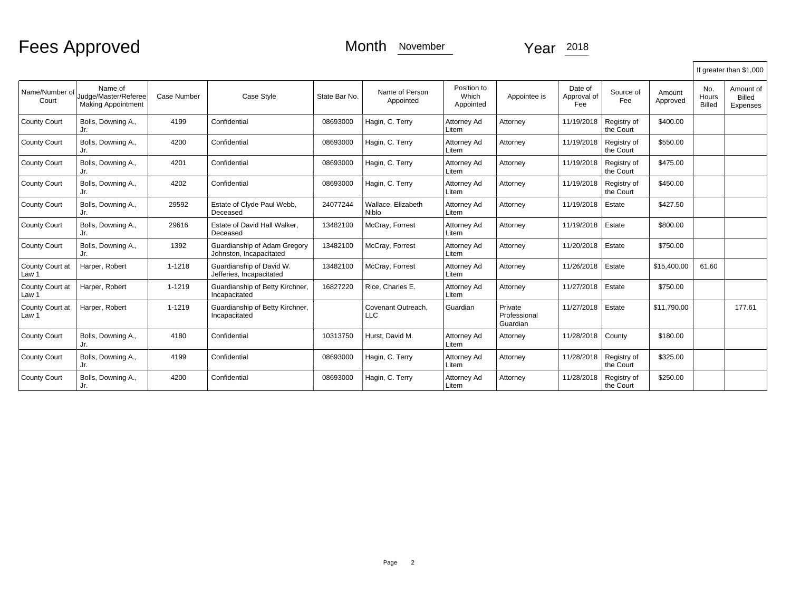|                          |                                                              |                    |                                                         |               |                                    |                                   |                                     |                               |                          |                    |                               | If greater than \$1,000                |
|--------------------------|--------------------------------------------------------------|--------------------|---------------------------------------------------------|---------------|------------------------------------|-----------------------------------|-------------------------------------|-------------------------------|--------------------------|--------------------|-------------------------------|----------------------------------------|
| Name/Number of<br>Court  | Name of<br>Judge/Master/Referee<br><b>Making Appointment</b> | <b>Case Number</b> | Case Style                                              | State Bar No. | Name of Person<br>Appointed        | Position to<br>Which<br>Appointed | Appointee is                        | Date of<br>Approval of<br>Fee | Source of<br>Fee         | Amount<br>Approved | No.<br>Hours<br><b>Billed</b> | Amount of<br>Billed<br><b>Expenses</b> |
| <b>County Court</b>      | Bolls, Downing A.,<br>Jr.                                    | 4199               | Confidential                                            | 08693000      | Hagin, C. Terry                    | Attorney Ad<br>Litem              | Attorney                            | 11/19/2018                    | Registry of<br>the Court | \$400.00           |                               |                                        |
| <b>County Court</b>      | Bolls, Downing A.,<br>Jr.                                    | 4200               | Confidential                                            | 08693000      | Hagin, C. Terry                    | Attorney Ad<br>Litem              | Attorney                            | 11/19/2018                    | Registry of<br>the Court | \$550.00           |                               |                                        |
| <b>County Court</b>      | Bolls, Downing A.,<br>Jr.                                    | 4201               | Confidential                                            | 08693000      | Hagin, C. Terry                    | Attorney Ad<br>Litem              | Attorney                            | 11/19/2018                    | Registry of<br>the Court | \$475.00           |                               |                                        |
| <b>County Court</b>      | Bolls, Downing A.,<br>Jr.                                    | 4202               | Confidential                                            | 08693000      | Hagin, C. Terry                    | Attorney Ad<br>Litem              | Attorney                            | 11/19/2018                    | Registry of<br>the Court | \$450.00           |                               |                                        |
| <b>County Court</b>      | Bolls, Downing A.,<br>Jr.                                    | 29592              | Estate of Clyde Paul Webb,<br>Deceased                  | 24077244      | Wallace, Elizabeth<br><b>Niblo</b> | Attorney Ad<br>Litem              | Attorney                            | 11/19/2018                    | Estate                   | \$427.50           |                               |                                        |
| <b>County Court</b>      | Bolls, Downing A.,<br>Jr.                                    | 29616              | Estate of David Hall Walker,<br>Deceased                | 13482100      | McCray, Forrest                    | Attorney Ad<br>Litem              | Attorney                            | 11/19/2018                    | Estate                   | \$800.00           |                               |                                        |
| <b>County Court</b>      | Bolls, Downing A.,<br>Jr.                                    | 1392               | Guardianship of Adam Gregory<br>Johnston, Incapacitated | 13482100      | McCray, Forrest                    | Attorney Ad<br>Litem              | Attorney                            | 11/20/2018                    | Estate                   | \$750.00           |                               |                                        |
| County Court at<br>Law 1 | Harper, Robert                                               | 1-1218             | Guardianship of David W.<br>Jefferies, Incapacitated    | 13482100      | McCray, Forrest                    | Attorney Ad<br>Litem              | Attorney                            | 11/26/2018                    | Estate                   | \$15,400.00        | 61.60                         |                                        |
| County Court at<br>Law 1 | Harper, Robert                                               | 1-1219             | Guardianship of Betty Kirchner,<br>Incapacitated        | 16827220      | Rice, Charles E.                   | Attorney Ad<br>Litem              | Attorney                            | 11/27/2018                    | Estate                   | \$750.00           |                               |                                        |
| County Court at<br>Law 1 | Harper, Robert                                               | 1-1219             | Guardianship of Betty Kirchner,<br>Incapacitated        |               | Covenant Outreach,<br>LLC          | Guardian                          | Private<br>Professional<br>Guardian | 11/27/2018                    | Estate                   | \$11,790.00        |                               | 177.61                                 |
| <b>County Court</b>      | Bolls, Downing A.,<br>Jr.                                    | 4180               | Confidential                                            | 10313750      | Hurst, David M.                    | Attorney Ad<br>Litem              | Attorney                            | 11/28/2018                    | County                   | \$180.00           |                               |                                        |
| <b>County Court</b>      | Bolls, Downing A.,<br>Jr.                                    | 4199               | Confidential                                            | 08693000      | Hagin, C. Terry                    | Attorney Ad<br>Litem              | Attorney                            | 11/28/2018                    | Registry of<br>the Court | \$325.00           |                               |                                        |
| <b>County Court</b>      | Bolls, Downing A.,<br>Jr.                                    | 4200               | Confidential                                            | 08693000      | Hagin, C. Terry                    | Attorney Ad<br>Litem              | Attorney                            | 11/28/2018                    | Registry of<br>the Court | \$250.00           |                               |                                        |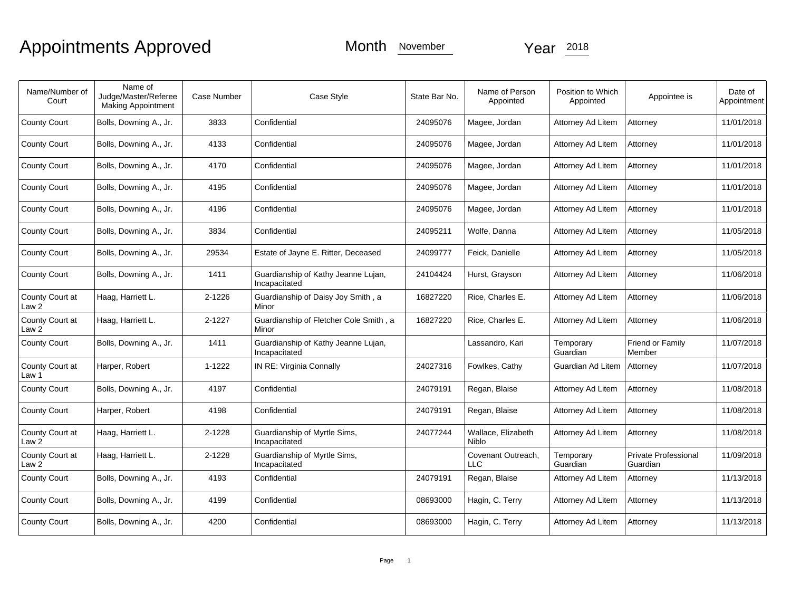# Appointments Approved Month November 2018

| Name/Number of<br>Court             | Name of<br>Judge/Master/Referee<br><b>Making Appointment</b> | Case Number | Case Style                                           | State Bar No. | Name of Person<br>Appointed        | Position to Which<br>Appointed | Appointee is                     | Date of<br>Appointment |
|-------------------------------------|--------------------------------------------------------------|-------------|------------------------------------------------------|---------------|------------------------------------|--------------------------------|----------------------------------|------------------------|
| <b>County Court</b>                 | Bolls, Downing A., Jr.                                       | 3833        | Confidential                                         | 24095076      | Magee, Jordan                      | Attorney Ad Litem              | Attorney                         | 11/01/2018             |
| <b>County Court</b>                 | Bolls, Downing A., Jr.                                       | 4133        | Confidential                                         | 24095076      | Magee, Jordan                      | Attorney Ad Litem              | Attorney                         | 11/01/2018             |
| <b>County Court</b>                 | Bolls, Downing A., Jr.                                       | 4170        | Confidential                                         | 24095076      | Magee, Jordan                      | Attorney Ad Litem              | Attorney                         | 11/01/2018             |
| <b>County Court</b>                 | Bolls, Downing A., Jr.                                       | 4195        | Confidential                                         | 24095076      | Magee, Jordan                      | Attorney Ad Litem              | Attorney                         | 11/01/2018             |
| <b>County Court</b>                 | Bolls, Downing A., Jr.                                       | 4196        | Confidential                                         | 24095076      | Magee, Jordan                      | Attorney Ad Litem              | Attorney                         | 11/01/2018             |
| <b>County Court</b>                 | Bolls, Downing A., Jr.                                       | 3834        | Confidential                                         | 24095211      | Wolfe, Danna                       | Attorney Ad Litem              | Attorney                         | 11/05/2018             |
| <b>County Court</b>                 | Bolls, Downing A., Jr.                                       | 29534       | Estate of Jayne E. Ritter, Deceased                  | 24099777      | Feick, Danielle                    | Attorney Ad Litem              | Attorney                         | 11/05/2018             |
| <b>County Court</b>                 | Bolls, Downing A., Jr.                                       | 1411        | Guardianship of Kathy Jeanne Lujan,<br>Incapacitated | 24104424      | Hurst, Grayson                     | Attorney Ad Litem              | Attorney                         | 11/06/2018             |
| County Court at<br>Law 2            | Haag, Harriett L.                                            | 2-1226      | Guardianship of Daisy Joy Smith, a<br>Minor          | 16827220      | Rice, Charles E.                   | Attorney Ad Litem              | Attorney                         | 11/06/2018             |
| County Court at<br>Law <sub>2</sub> | Haag, Harriett L.                                            | 2-1227      | Guardianship of Fletcher Cole Smith, a<br>Minor      | 16827220      | Rice. Charles E.                   | Attorney Ad Litem              | Attorney                         | 11/06/2018             |
| <b>County Court</b>                 | Bolls, Downing A., Jr.                                       | 1411        | Guardianship of Kathy Jeanne Lujan,<br>Incapacitated |               | Lassandro, Kari                    | Temporary<br>Guardian          | Friend or Family<br>Member       | 11/07/2018             |
| County Court at<br>Law 1            | Harper, Robert                                               | 1-1222      | IN RE: Virginia Connally                             | 24027316      | Fowlkes, Cathy                     | Guardian Ad Litem              | Attorney                         | 11/07/2018             |
| <b>County Court</b>                 | Bolls, Downing A., Jr.                                       | 4197        | Confidential                                         | 24079191      | Regan, Blaise                      | Attorney Ad Litem              | Attorney                         | 11/08/2018             |
| <b>County Court</b>                 | Harper, Robert                                               | 4198        | Confidential                                         | 24079191      | Regan, Blaise                      | Attorney Ad Litem              | Attorney                         | 11/08/2018             |
| County Court at<br>Law 2            | Haag, Harriett L.                                            | 2-1228      | Guardianship of Myrtle Sims,<br>Incapacitated        | 24077244      | Wallace, Elizabeth<br><b>Niblo</b> | Attorney Ad Litem              | Attorney                         | 11/08/2018             |
| County Court at<br>Law 2            | Haag, Harriett L.                                            | 2-1228      | Guardianship of Myrtle Sims,<br>Incapacitated        |               | Covenant Outreach,<br><b>LLC</b>   | Temporary<br>Guardian          | Private Professional<br>Guardian | 11/09/2018             |
| <b>County Court</b>                 | Bolls, Downing A., Jr.                                       | 4193        | Confidential                                         | 24079191      | Regan, Blaise                      | Attorney Ad Litem              | Attorney                         | 11/13/2018             |
| <b>County Court</b>                 | Bolls, Downing A., Jr.                                       | 4199        | Confidential                                         | 08693000      | Hagin, C. Terry                    | Attorney Ad Litem              | Attorney                         | 11/13/2018             |
| <b>County Court</b>                 | Bolls, Downing A., Jr.                                       | 4200        | Confidential                                         | 08693000      | Hagin, C. Terry                    | Attorney Ad Litem              | Attorney                         | 11/13/2018             |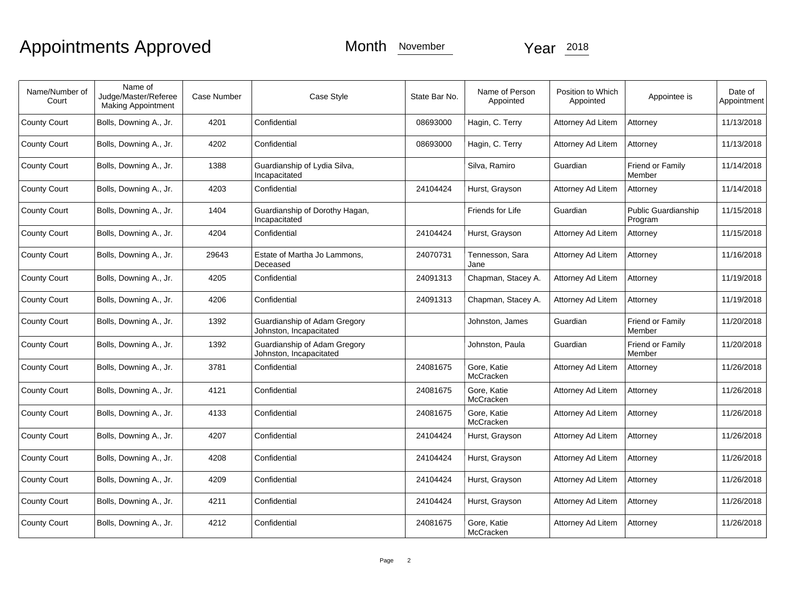# Appointments Approved Month November 2018

| Name/Number of<br>Court | Name of<br>Judge/Master/Referee<br><b>Making Appointment</b> | Case Number | Case Style                                              | State Bar No. | Name of Person<br>Appointed | Position to Which<br>Appointed | Appointee is                   | Date of<br>Appointment |
|-------------------------|--------------------------------------------------------------|-------------|---------------------------------------------------------|---------------|-----------------------------|--------------------------------|--------------------------------|------------------------|
| <b>County Court</b>     | Bolls, Downing A., Jr.                                       | 4201        | Confidential                                            | 08693000      | Hagin, C. Terry             | Attorney Ad Litem              | Attorney                       | 11/13/2018             |
| <b>County Court</b>     | Bolls, Downing A., Jr.                                       | 4202        | Confidential                                            | 08693000      | Hagin, C. Terry             | Attorney Ad Litem              | Attorney                       | 11/13/2018             |
| <b>County Court</b>     | Bolls, Downing A., Jr.                                       | 1388        | Guardianship of Lydia Silva,<br>Incapacitated           |               | Silva, Ramiro               | Guardian                       | Friend or Family<br>Member     | 11/14/2018             |
| <b>County Court</b>     | Bolls, Downing A., Jr.                                       | 4203        | Confidential                                            | 24104424      | Hurst, Grayson              | Attorney Ad Litem              | Attorney                       | 11/14/2018             |
| <b>County Court</b>     | Bolls, Downing A., Jr.                                       | 1404        | Guardianship of Dorothy Hagan,<br>Incapacitated         |               | Friends for Life            | Guardian                       | Public Guardianship<br>Program | 11/15/2018             |
| <b>County Court</b>     | Bolls, Downing A., Jr.                                       | 4204        | Confidential                                            | 24104424      | Hurst, Grayson              | Attorney Ad Litem              | Attorney                       | 11/15/2018             |
| <b>County Court</b>     | Bolls, Downing A., Jr.                                       | 29643       | Estate of Martha Jo Lammons,<br>Deceased                | 24070731      | Tennesson, Sara<br>Jane     | Attorney Ad Litem              | Attorney                       | 11/16/2018             |
| <b>County Court</b>     | Bolls, Downing A., Jr.                                       | 4205        | Confidential                                            | 24091313      | Chapman, Stacey A.          | Attorney Ad Litem              | Attorney                       | 11/19/2018             |
| <b>County Court</b>     | Bolls, Downing A., Jr.                                       | 4206        | Confidential                                            | 24091313      | Chapman, Stacey A.          | Attorney Ad Litem              | Attorney                       | 11/19/2018             |
| <b>County Court</b>     | Bolls, Downing A., Jr.                                       | 1392        | Guardianship of Adam Gregory<br>Johnston, Incapacitated |               | Johnston, James             | Guardian                       | Friend or Family<br>Member     | 11/20/2018             |
| <b>County Court</b>     | Bolls, Downing A., Jr.                                       | 1392        | Guardianship of Adam Gregory<br>Johnston, Incapacitated |               | Johnston, Paula             | Guardian                       | Friend or Family<br>Member     | 11/20/2018             |
| <b>County Court</b>     | Bolls, Downing A., Jr.                                       | 3781        | Confidential                                            | 24081675      | Gore, Katie<br>McCracken    | Attorney Ad Litem              | Attorney                       | 11/26/2018             |
| <b>County Court</b>     | Bolls, Downing A., Jr.                                       | 4121        | Confidential                                            | 24081675      | Gore, Katie<br>McCracken    | Attorney Ad Litem              | Attorney                       | 11/26/2018             |
| <b>County Court</b>     | Bolls, Downing A., Jr.                                       | 4133        | Confidential                                            | 24081675      | Gore, Katie<br>McCracken    | Attorney Ad Litem              | Attorney                       | 11/26/2018             |
| <b>County Court</b>     | Bolls, Downing A., Jr.                                       | 4207        | Confidential                                            | 24104424      | Hurst, Grayson              | Attorney Ad Litem              | Attorney                       | 11/26/2018             |
| <b>County Court</b>     | Bolls, Downing A., Jr.                                       | 4208        | Confidential                                            | 24104424      | Hurst, Grayson              | Attorney Ad Litem              | Attorney                       | 11/26/2018             |
| <b>County Court</b>     | Bolls, Downing A., Jr.                                       | 4209        | Confidential                                            | 24104424      | Hurst, Grayson              | Attorney Ad Litem              | Attorney                       | 11/26/2018             |
| <b>County Court</b>     | Bolls, Downing A., Jr.                                       | 4211        | Confidential                                            | 24104424      | Hurst, Grayson              | Attorney Ad Litem              | Attorney                       | 11/26/2018             |
| <b>County Court</b>     | Bolls, Downing A., Jr.                                       | 4212        | Confidential                                            | 24081675      | Gore, Katie<br>McCracken    | Attorney Ad Litem              | Attorney                       | 11/26/2018             |